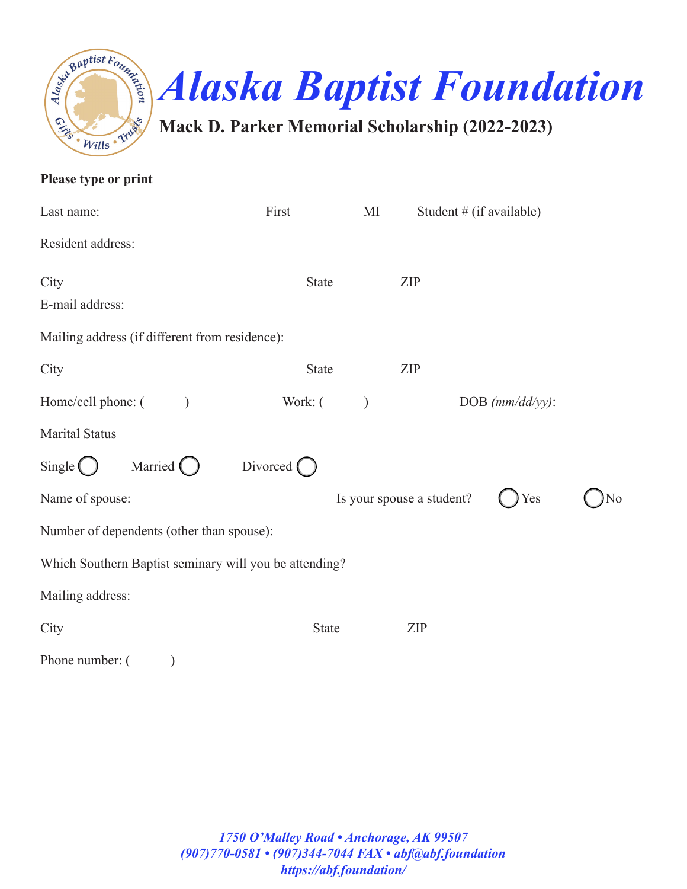

| Please type or print                                   |                    |               |                            |                       |    |
|--------------------------------------------------------|--------------------|---------------|----------------------------|-----------------------|----|
| Last name:                                             | First              | MI            | Student $#$ (if available) |                       |    |
| Resident address:                                      |                    |               |                            |                       |    |
| City                                                   | <b>State</b>       |               | ZIP                        |                       |    |
| E-mail address:                                        |                    |               |                            |                       |    |
| Mailing address (if different from residence):         |                    |               |                            |                       |    |
| City                                                   | State              |               | ZIP                        |                       |    |
| Home/cell phone: (<br>$\lambda$                        | Work: (            | $\mathcal{L}$ |                            | $DOB$ ( $mm/dd/yy$ ): |    |
| <b>Marital Status</b>                                  |                    |               |                            |                       |    |
| Married $\bigcirc$<br>Single $\bigcirc$                | Divorced $\bigcap$ |               |                            |                       |    |
| Name of spouse:                                        |                    |               | Is your spouse a student?  | Yes                   | No |
| Number of dependents (other than spouse):              |                    |               |                            |                       |    |
| Which Southern Baptist seminary will you be attending? |                    |               |                            |                       |    |
| Mailing address:                                       |                    |               |                            |                       |    |
| City                                                   | <b>State</b>       |               | ZIP                        |                       |    |
| Phone number: (                                        |                    |               |                            |                       |    |

*1750 O'Malley Road • Anchorage, AK 99507 (907)770-0581 • (907)344-7044 FAX • abf@abf.foundation https://abf.foundation/*